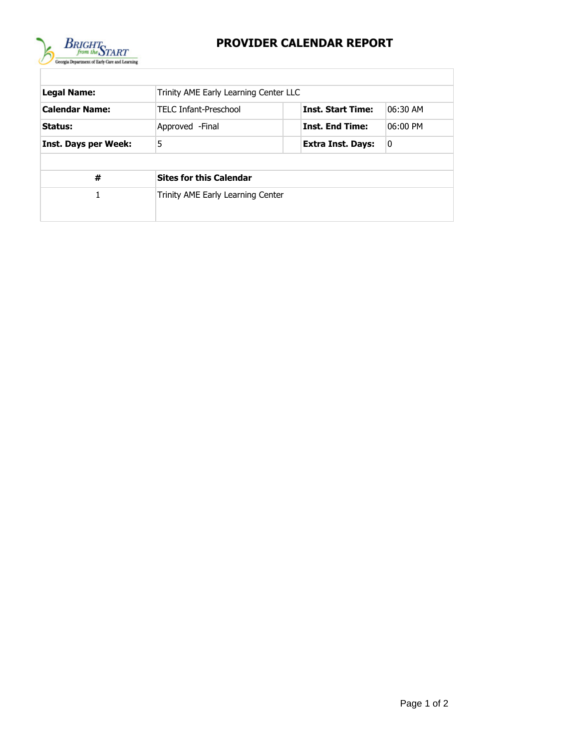

## **PROVIDER CALENDAR REPORT**

| <b>Legal Name:</b>          | Trinity AME Early Learning Center LLC |                          |          |  |  |  |  |  |  |
|-----------------------------|---------------------------------------|--------------------------|----------|--|--|--|--|--|--|
| <b>Calendar Name:</b>       | <b>TELC Infant-Preschool</b>          | <b>Inst. Start Time:</b> | 06:30 AM |  |  |  |  |  |  |
| Status:                     | Approved - Final                      | <b>Inst. End Time:</b>   | 06:00 PM |  |  |  |  |  |  |
| <b>Inst. Days per Week:</b> | 5                                     | Extra Inst. Days:        | 0        |  |  |  |  |  |  |
|                             |                                       |                          |          |  |  |  |  |  |  |
| #                           | <b>Sites for this Calendar</b>        |                          |          |  |  |  |  |  |  |
| 1                           | Trinity AME Early Learning Center     |                          |          |  |  |  |  |  |  |